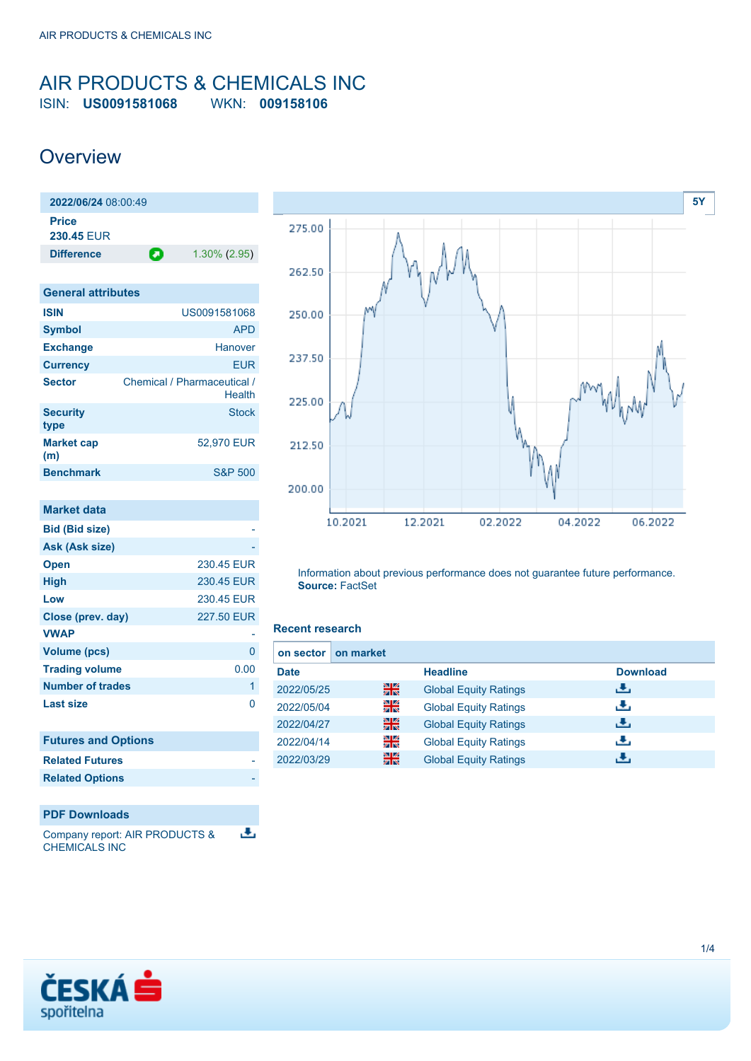### <span id="page-0-0"></span>AIR PRODUCTS & CHEMICALS INC ISIN: **US0091581068** WKN: **009158106**

## **Overview**

| 2022/06/24 08:00:49 |   |                 |
|---------------------|---|-----------------|
| <b>Price</b>        |   |                 |
| <b>230.45 FUR</b>   |   |                 |
| <b>Difference</b>   | o | $1.30\%$ (2.95) |
|                     |   |                 |

| <b>General attributes</b> |                                       |
|---------------------------|---------------------------------------|
| <b>ISIN</b>               | US0091581068                          |
| <b>Symbol</b>             | <b>APD</b>                            |
| <b>Exchange</b>           | Hanover                               |
| <b>Currency</b>           | <b>EUR</b>                            |
| <b>Sector</b>             | Chemical / Pharmaceutical /<br>Health |
| <b>Security</b><br>type   | <b>Stock</b>                          |
| <b>Market cap</b><br>(m)  | 52,970 EUR                            |
| <b>Benchmark</b>          | <b>S&amp;P 500</b>                    |
|                           |                                       |

| market data                |            |
|----------------------------|------------|
| <b>Bid (Bid size)</b>      |            |
| Ask (Ask size)             |            |
| <b>Open</b>                | 230.45 EUR |
| <b>High</b>                | 230.45 EUR |
| Low                        | 230.45 EUR |
| Close (prev. day)          | 227.50 EUR |
| <b>VWAP</b>                |            |
| <b>Volume (pcs)</b>        | 0          |
| <b>Trading volume</b>      | 0.00       |
| <b>Number of trades</b>    | 1          |
| <b>Last size</b>           | O          |
| <b>Futures and Options</b> |            |
| <b>Related Futures</b>     |            |
| <b>Related Options</b>     |            |

### **PDF Downloads**

**Market data**

Company report: AIR PRODUCTS & 區 CHEMICALS INC



Information about previous performance does not guarantee future performance. **Source:** FactSet

### **Recent research**

| on market<br>on sector I |    |                              |                 |
|--------------------------|----|------------------------------|-----------------|
| <b>Date</b>              |    | <b>Headline</b>              | <b>Download</b> |
| 2022/05/25               | 을중 | <b>Global Equity Ratings</b> | رنان            |
| 2022/05/04               | 꾉뚢 | <b>Global Equity Ratings</b> | J.              |
| 2022/04/27               | 꾊  | <b>Global Equity Ratings</b> | æ,              |
| 2022/04/14               | 꾉뚢 | <b>Global Equity Ratings</b> | æ,              |
| 2022/03/29               | 噐  | <b>Global Equity Ratings</b> | æ,              |

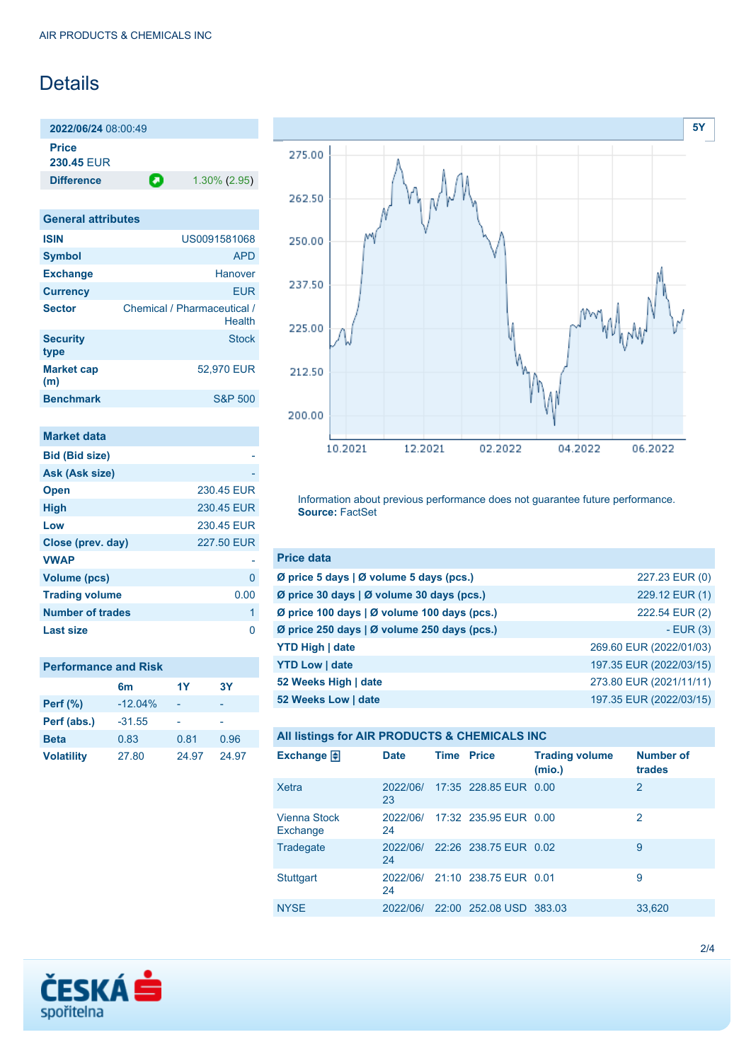# **Details**

**2022/06/24** 08:00:49 **Price**

**230.45** EUR

**Difference 1.30% (2.95)** 

| <b>General attributes</b> |                                       |
|---------------------------|---------------------------------------|
| <b>ISIN</b>               | US0091581068                          |
| <b>Symbol</b>             | <b>APD</b>                            |
| <b>Exchange</b>           | Hanover                               |
| <b>Currency</b>           | <b>EUR</b>                            |
| <b>Sector</b>             | Chemical / Pharmaceutical /<br>Health |
| <b>Security</b><br>type   | <b>Stock</b>                          |
| <b>Market cap</b><br>(m)  | 52,970 EUR                            |
| <b>Benchmark</b>          | <b>S&amp;P 500</b>                    |

| <b>Market data</b>      |            |
|-------------------------|------------|
| <b>Bid (Bid size)</b>   |            |
| Ask (Ask size)          |            |
| <b>Open</b>             | 230.45 EUR |
| <b>High</b>             | 230.45 EUR |
| Low                     | 230.45 EUR |
| Close (prev. day)       | 227.50 EUR |
| <b>VWAP</b>             |            |
| Volume (pcs)            | O          |
| <b>Trading volume</b>   | 0.00       |
| <b>Number of trades</b> | 1          |
| Last size               |            |

| <b>Performance and Risk</b> |                |       |           |  |
|-----------------------------|----------------|-------|-----------|--|
|                             | 6 <sub>m</sub> | 1Y    | <b>3Y</b> |  |
| <b>Perf (%)</b>             | $-12.04%$      |       |           |  |
| Perf (abs.)                 | $-31.55$       |       |           |  |
| <b>Beta</b>                 | 0.83           | 0.81  | 0.96      |  |
| <b>Volatility</b>           | 27.80          | 24.97 | 24.97     |  |



Information about previous performance does not guarantee future performance. **Source:** FactSet

| <b>Price data</b>                           |                         |
|---------------------------------------------|-------------------------|
| Ø price 5 days   Ø volume 5 days (pcs.)     | 227.23 EUR (0)          |
| Ø price 30 days   Ø volume 30 days (pcs.)   | 229.12 EUR (1)          |
| Ø price 100 days   Ø volume 100 days (pcs.) | 222.54 EUR (2)          |
| Ø price 250 days   Ø volume 250 days (pcs.) | $-EUR(3)$               |
| <b>YTD High   date</b>                      | 269.60 EUR (2022/01/03) |
| <b>YTD Low   date</b>                       | 197.35 EUR (2022/03/15) |
| 52 Weeks High   date                        | 273.80 EUR (2021/11/11) |
| 52 Weeks Low   date                         | 197.35 EUR (2022/03/15) |

|  |  | All listings for AIR PRODUCTS & CHEMICALS INC |
|--|--|-----------------------------------------------|
|--|--|-----------------------------------------------|

| Exchange $\bigoplus$     | <b>Date</b>    | <b>Time Price</b> |                         | <b>Trading volume</b><br>(mio.) | <b>Number of</b><br>trades |
|--------------------------|----------------|-------------------|-------------------------|---------------------------------|----------------------------|
| Xetra                    | 2022/06/<br>23 |                   | 17:35 228.85 EUR 0.00   |                                 | 2                          |
| Vienna Stock<br>Exchange | 2022/06/<br>24 |                   | 17:32 235.95 EUR 0.00   |                                 | 2                          |
| Tradegate                | 2022/06/<br>24 |                   | 22:26 238.75 EUR 0.02   |                                 | 9                          |
| Stuttgart                | 2022/06/<br>24 |                   | 21:10 238.75 EUR 0.01   |                                 | 9                          |
| <b>NYSE</b>              | 2022/06/       |                   | 22:00 252.08 USD 383.03 |                                 | 33,620                     |

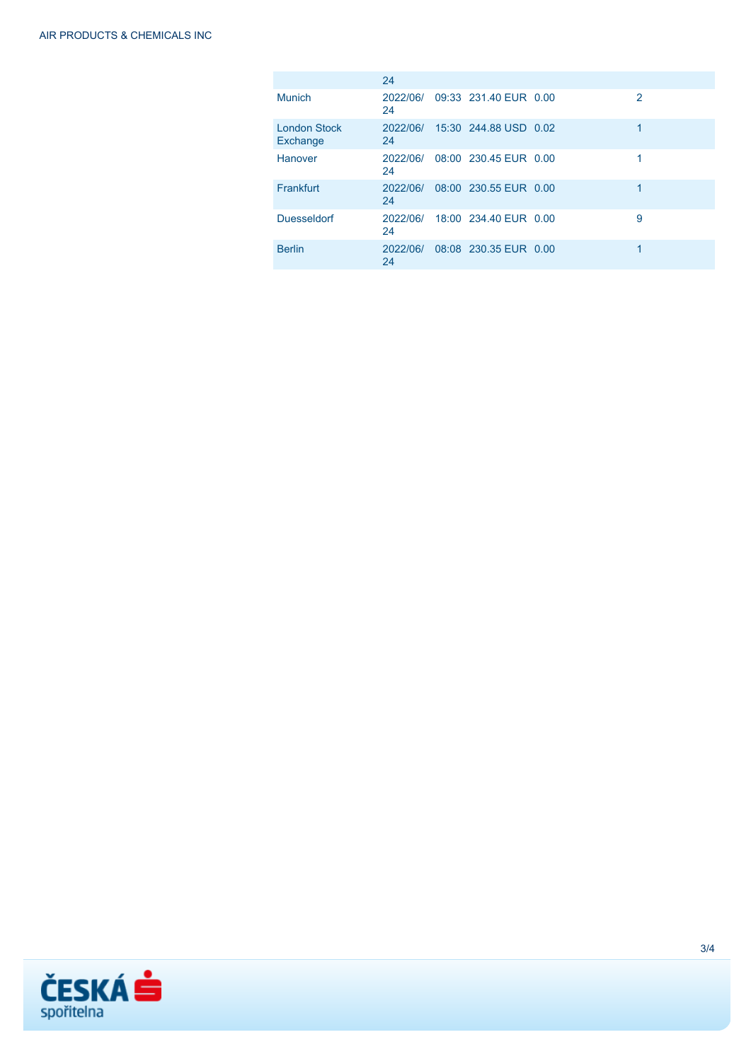|                                 | 24             |                       |   |
|---------------------------------|----------------|-----------------------|---|
| Munich                          | 2022/06/<br>24 | 09:33 231.40 EUR 0.00 | 2 |
| <b>London Stock</b><br>Exchange | 2022/06/<br>24 | 15:30 244.88 USD 0.02 | 1 |
| Hanover                         | 2022/06/<br>24 | 08:00 230.45 EUR 0.00 |   |
| Frankfurt                       | 2022/06/<br>24 | 08:00 230.55 EUR 0.00 |   |
| <b>Duesseldorf</b>              | 2022/06/<br>24 | 18:00 234.40 EUR 0.00 | 9 |
| <b>Berlin</b>                   | 2022/06/<br>24 | 08:08 230.35 EUR 0.00 | 1 |